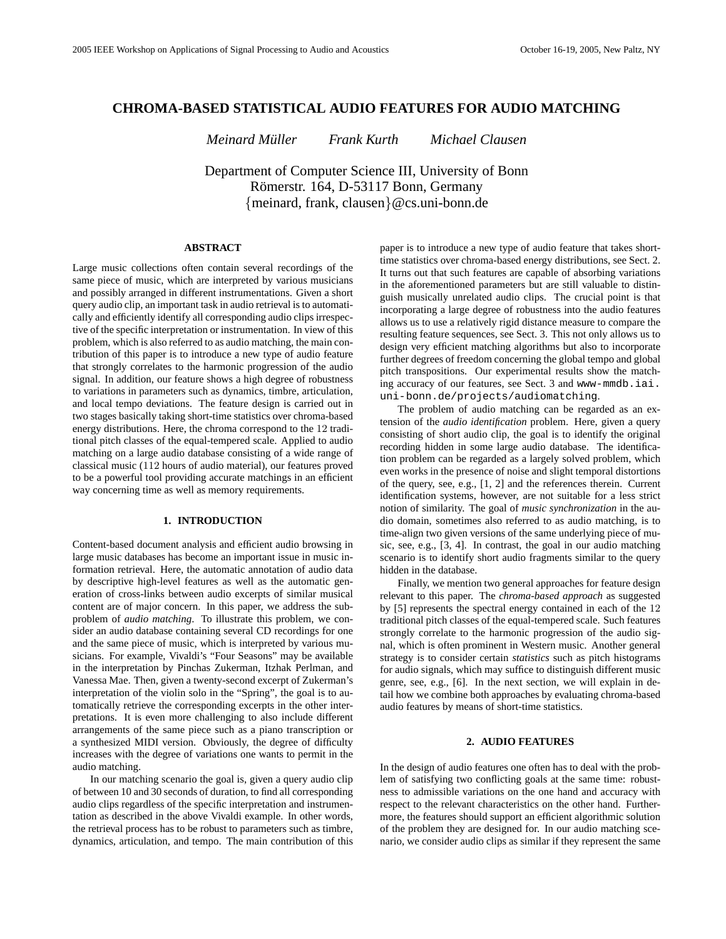# **CHROMA-BASED STATISTICAL AUDIO FEATURES FOR AUDIO MATCHING**

*Meinard Muller Frank Kurth Michael Clausen ¨*

Department of Computer Science III, University of Bonn Römerstr. 164, D-53117 Bonn, Germany {meinard, frank, clausen}@cs.uni-bonn.de

## **ABSTRACT**

Large music collections often contain several recordings of the same piece of music, which are interpreted by various musicians and possibly arranged in different instrumentations. Given a short query audio clip, an important task in audio retrieval is to automatically and efficiently identify all corresponding audio clips irrespective of the specific interpretation or instrumentation. In view of this problem, which is also referred to as audio matching, the main contribution of this paper is to introduce a new type of audio feature that strongly correlates to the harmonic progression of the audio signal. In addition, our feature shows a high degree of robustness to variations in parameters such as dynamics, timbre, articulation, and local tempo deviations. The feature design is carried out in two stages basically taking short-time statistics over chroma-based energy distributions. Here, the chroma correspond to the 12 traditional pitch classes of the equal-tempered scale. Applied to audio matching on a large audio database consisting of a wide range of classical music (112 hours of audio material), our features proved to be a powerful tool providing accurate matchings in an efficient way concerning time as well as memory requirements.

# **1. INTRODUCTION**

Content-based document analysis and efficient audio browsing in large music databases has become an important issue in music information retrieval. Here, the automatic annotation of audio data by descriptive high-level features as well as the automatic generation of cross-links between audio excerpts of similar musical content are of major concern. In this paper, we address the subproblem of *audio matching*. To illustrate this problem, we consider an audio database containing several CD recordings for one and the same piece of music, which is interpreted by various musicians. For example, Vivaldi's "Four Seasons" may be available in the interpretation by Pinchas Zukerman, Itzhak Perlman, and Vanessa Mae. Then, given a twenty-second excerpt of Zukerman's interpretation of the violin solo in the "Spring", the goal is to automatically retrieve the corresponding excerpts in the other interpretations. It is even more challenging to also include different arrangements of the same piece such as a piano transcription or a synthesized MIDI version. Obviously, the degree of difficulty increases with the degree of variations one wants to permit in the audio matching.

In our matching scenario the goal is, given a query audio clip of between 10 and 30 seconds of duration, to find all corresponding audio clips regardless of the specific interpretation and instrumentation as described in the above Vivaldi example. In other words, the retrieval process has to be robust to parameters such as timbre, dynamics, articulation, and tempo. The main contribution of this paper is to introduce a new type of audio feature that takes shorttime statistics over chroma-based energy distributions, see Sect. 2. It turns out that such features are capable of absorbing variations in the aforementioned parameters but are still valuable to distinguish musically unrelated audio clips. The crucial point is that incorporating a large degree of robustness into the audio features allows us to use a relatively rigid distance measure to compare the resulting feature sequences, see Sect. 3. This not only allows us to design very efficient matching algorithms but also to incorporate further degrees of freedom concerning the global tempo and global pitch transpositions. Our experimental results show the matching accuracy of our features, see Sect. 3 and www-mmdb.iai. uni-bonn.de/projects/audiomatching.

The problem of audio matching can be regarded as an extension of the *audio identification* problem. Here, given a query consisting of short audio clip, the goal is to identify the original recording hidden in some large audio database. The identification problem can be regarded as a largely solved problem, which even works in the presence of noise and slight temporal distortions of the query, see, e.g., [1, 2] and the references therein. Current identification systems, however, are not suitable for a less strict notion of similarity. The goal of *music synchronization* in the audio domain, sometimes also referred to as audio matching, is to time-align two given versions of the same underlying piece of music, see, e.g., [3, 4]. In contrast, the goal in our audio matching scenario is to identify short audio fragments similar to the query hidden in the database.

Finally, we mention two general approaches for feature design relevant to this paper. The *chroma-based approach* as suggested by [5] represents the spectral energy contained in each of the 12 traditional pitch classes of the equal-tempered scale. Such features strongly correlate to the harmonic progression of the audio signal, which is often prominent in Western music. Another general strategy is to consider certain *statistics* such as pitch histograms for audio signals, which may suffice to distinguish different music genre, see, e.g., [6]. In the next section, we will explain in detail how we combine both approaches by evaluating chroma-based audio features by means of short-time statistics.

## **2. AUDIO FEATURES**

In the design of audio features one often has to deal with the problem of satisfying two conflicting goals at the same time: robustness to admissible variations on the one hand and accuracy with respect to the relevant characteristics on the other hand. Furthermore, the features should support an efficient algorithmic solution of the problem they are designed for. In our audio matching scenario, we consider audio clips as similar if they represent the same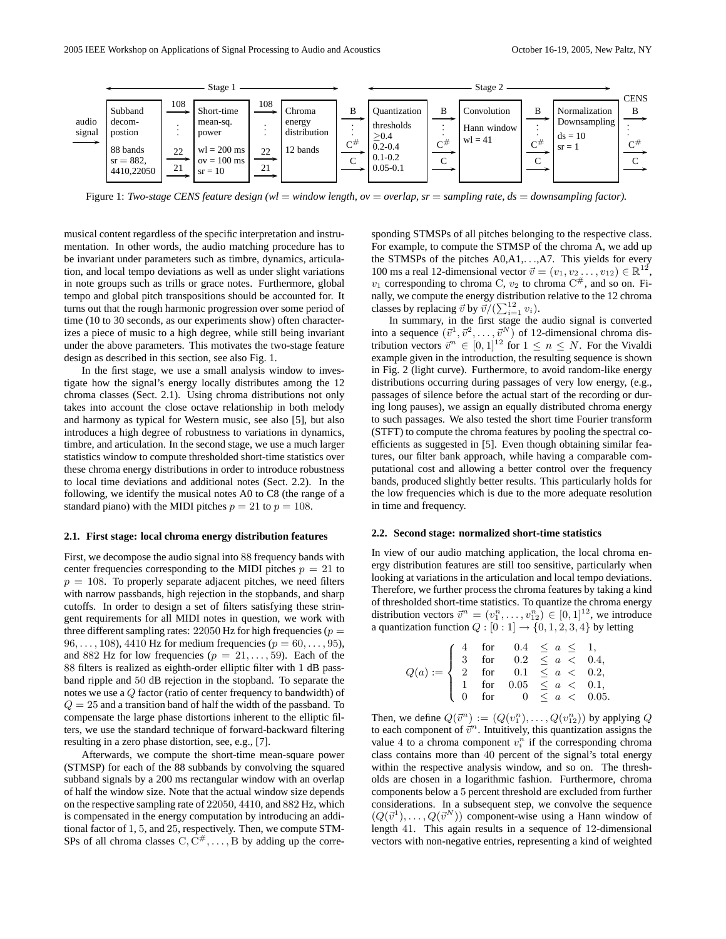

Figure 1: *Two-stage CENS feature design (wl* = *window length, ov* = *overlap, sr* = *sampling rate, ds* = *downsampling factor).*

musical content regardless of the specific interpretation and instrumentation. In other words, the audio matching procedure has to be invariant under parameters such as timbre, dynamics, articulation, and local tempo deviations as well as under slight variations in note groups such as trills or grace notes. Furthermore, global tempo and global pitch transpositions should be accounted for. It turns out that the rough harmonic progression over some period of time (10 to 30 seconds, as our experiments show) often characterizes a piece of music to a high degree, while still being invariant under the above parameters. This motivates the two-stage feature design as described in this section, see also Fig. 1.

In the first stage, we use a small analysis window to investigate how the signal's energy locally distributes among the 12 chroma classes (Sect. 2.1). Using chroma distributions not only takes into account the close octave relationship in both melody and harmony as typical for Western music, see also [5], but also introduces a high degree of robustness to variations in dynamics, timbre, and articulation. In the second stage, we use a much larger statistics window to compute thresholded short-time statistics over these chroma energy distributions in order to introduce robustness to local time deviations and additional notes (Sect. 2.2). In the following, we identify the musical notes A0 to C8 (the range of a standard piano) with the MIDI pitches  $p = 21$  to  $p = 108$ .

#### **2.1. First stage: local chroma energy distribution features**

First, we decompose the audio signal into 88 frequency bands with center frequencies corresponding to the MIDI pitches  $p = 21$  to  $p = 108$ . To properly separate adjacent pitches, we need filters with narrow passbands, high rejection in the stopbands, and sharp cutoffs. In order to design a set of filters satisfying these stringent requirements for all MIDI notes in question, we work with three different sampling rates:  $22050$  Hz for high frequencies ( $p =$ 96, ..., 108), 4410 Hz for medium frequencies ( $p = 60, ..., 95$ ), and 882 Hz for low frequencies ( $p = 21, \ldots, 59$ ). Each of the 88 filters is realized as eighth-order elliptic filter with 1 dB passband ripple and 50 dB rejection in the stopband. To separate the notes we use a Q factor (ratio of center frequency to bandwidth) of  $Q = 25$  and a transition band of half the width of the passband. To compensate the large phase distortions inherent to the elliptic filters, we use the standard technique of forward-backward filtering resulting in a zero phase distortion, see, e.g., [7].

Afterwards, we compute the short-time mean-square power (STMSP) for each of the 88 subbands by convolving the squared subband signals by a 200 ms rectangular window with an overlap of half the window size. Note that the actual window size depends on the respective sampling rate of 22050, 4410, and 882 Hz, which is compensated in the energy computation by introducing an additional factor of 1, 5, and 25, respectively. Then, we compute STM-SPs of all chroma classes  $C, \overline{C^*}, \ldots, B$  by adding up the corresponding STMSPs of all pitches belonging to the respective class. For example, to compute the STMSP of the chroma A, we add up the STMSPs of the pitches A0,A1,. . .,A7. This yields for every 100 ms a real 12-dimensional vector  $\vec{v} = (v_1, v_2 \dots, v_{12}) \in \mathbb{R}^{12}$ ,  $v_1$  corresponding to chroma C,  $v_2$  to chroma  $C^{\#}$ , and so on. Finally, we compute the energy distribution relative to the 12 chroma classes by replacing  $\vec{v}$  by  $\vec{v}/(\sum_{i=1}^{12} v_i)$ .

In summary, in the first stage the audio signal is converted into a sequence  $(\vec{v}^1, \vec{v}^2, \dots, \vec{v}^N)$  of 12-dimensional chroma distribution vectors  $\vec{v}^n \in [0, 1]^{12}$  for  $1 \le n \le N$ . For the Vivaldi example given in the introduction, the resulting sequence is shown in Fig. 2 (light curve). Furthermore, to avoid random-like energy distributions occurring during passages of very low energy, (e.g., passages of silence before the actual start of the recording or during long pauses), we assign an equally distributed chroma energy to such passages. We also tested the short time Fourier transform (STFT) to compute the chroma features by pooling the spectral coefficients as suggested in [5]. Even though obtaining similar features, our filter bank approach, while having a comparable computational cost and allowing a better control over the frequency bands, produced slightly better results. This particularly holds for the low frequencies which is due to the more adequate resolution in time and frequency.

#### **2.2. Second stage: normalized short-time statistics**

In view of our audio matching application, the local chroma energy distribution features are still too sensitive, particularly when looking at variations in the articulation and local tempo deviations. Therefore, we further process the chroma features by taking a kind of thresholded short-time statistics. To quantize the chroma energy distribution vectors  $\vec{v}^n = (v_1^n, \dots, v_{12}^n) \in [0, 1]^{12}$ , we introduce a quantization function  $Q : [0 : 1] \rightarrow \{0, 1, 2, 3, 4\}$  by letting

$$
Q(a) := \left\{ \begin{array}{lcl} 4 & \text{for} & 0.4 \leq a \leq 1, \\ 3 & \text{for} & 0.2 \leq a < 0.4, \\ 2 & \text{for} & 0.1 \leq a < 0.2, \\ 1 & \text{for} & 0.05 \leq a < 0.1, \\ 0 & \text{for} & 0 \leq a < 0.05. \end{array} \right.
$$

Then, we define  $Q(\vec{v}^n) := (Q(v_1^n), \dots, Q(v_{12}^n))$  by applying Q to each component of  $\vec{v}^n$ . Intuitively, this quantization assigns the value 4 to a chroma component  $v_i^n$  if the corresponding chroma class contains more than 40 percent of the signal's total energy within the respective analysis window, and so on. The thresholds are chosen in a logarithmic fashion. Furthermore, chroma components below a 5 percent threshold are excluded from further considerations. In a subsequent step, we convolve the sequence  $(Q(\vec{v}^1), \ldots, Q(\vec{v}^N))$  component-wise using a Hann window of length 41. This again results in a sequence of 12-dimensional vectors with non-negative entries, representing a kind of weighted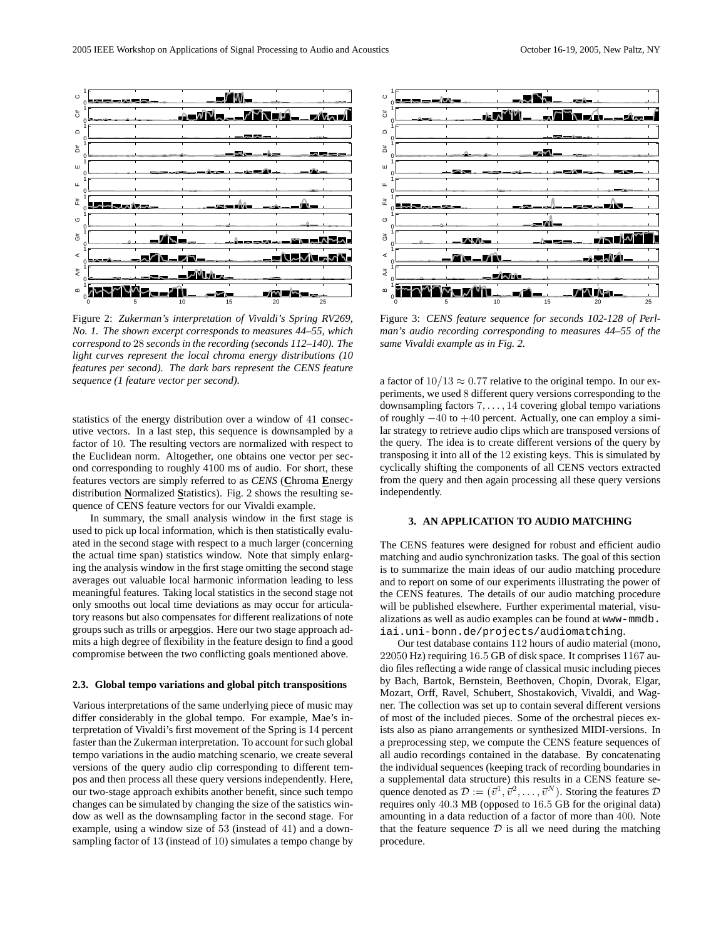

Figure 2: *Zukerman's interpretation of Vivaldi's Spring RV269, No. 1. The shown excerpt corresponds to measures 44–55, which correspond to* 28 *seconds in the recording (seconds 112–140). The light curves represent the local chroma energy distributions (10 features per second). The dark bars represent the CENS feature sequence (1 feature vector per second).*

statistics of the energy distribution over a window of 41 consecutive vectors. In a last step, this sequence is downsampled by a factor of 10. The resulting vectors are normalized with respect to the Euclidean norm. Altogether, one obtains one vector per second corresponding to roughly 4100 ms of audio. For short, these features vectors are simply referred to as *CENS* (**C**hroma **E**nergy distribution **N**ormalized **S**tatistics). Fig. 2 shows the resulting sequence of CENS feature vectors for our Vivaldi example.

In summary, the small analysis window in the first stage is used to pick up local information, which is then statistically evaluated in the second stage with respect to a much larger (concerning the actual time span) statistics window. Note that simply enlarging the analysis window in the first stage omitting the second stage averages out valuable local harmonic information leading to less meaningful features. Taking local statistics in the second stage not only smooths out local time deviations as may occur for articulatory reasons but also compensates for different realizations of note groups such as trills or arpeggios. Here our two stage approach admits a high degree of flexibility in the feature design to find a good compromise between the two conflicting goals mentioned above.

#### **2.3. Global tempo variations and global pitch transpositions**

Various interpretations of the same underlying piece of music may differ considerably in the global tempo. For example, Mae's interpretation of Vivaldi's first movement of the Spring is 14 percent faster than the Zukerman interpretation. To account for such global tempo variations in the audio matching scenario, we create several versions of the query audio clip corresponding to different tempos and then process all these query versions independently. Here, our two-stage approach exhibits another benefit, since such tempo changes can be simulated by changing the size of the satistics window as well as the downsampling factor in the second stage. For example, using a window size of 53 (instead of 41) and a downsampling factor of 13 (instead of 10) simulates a tempo change by



Figure 3: *CENS feature sequence for seconds 102-128 of Perlman's audio recording corresponding to measures 44–55 of the same Vivaldi example as in Fig. 2.*

a factor of  $10/13 \approx 0.77$  relative to the original tempo. In our experiments, we used 8 different query versions corresponding to the downsampling factors  $7, \ldots, 14$  covering global tempo variations of roughly −40 to +40 percent. Actually, one can employ a similar strategy to retrieve audio clips which are transposed versions of the query. The idea is to create different versions of the query by transposing it into all of the 12 existing keys. This is simulated by cyclically shifting the components of all CENS vectors extracted from the query and then again processing all these query versions independently.

### **3. AN APPLICATION TO AUDIO MATCHING**

The CENS features were designed for robust and efficient audio matching and audio synchronization tasks. The goal of this section is to summarize the main ideas of our audio matching procedure and to report on some of our experiments illustrating the power of the CENS features. The details of our audio matching procedure will be published elsewhere. Further experimental material, visualizations as well as audio examples can be found at www-mmdb. iai.uni-bonn.de/projects/audiomatching.

Our test database contains 112 hours of audio material (mono, 22050 Hz) requiring 16.5 GB of disk space. It comprises 1167 audio files reflecting a wide range of classical music including pieces by Bach, Bartok, Bernstein, Beethoven, Chopin, Dvorak, Elgar, Mozart, Orff, Ravel, Schubert, Shostakovich, Vivaldi, and Wagner. The collection was set up to contain several different versions of most of the included pieces. Some of the orchestral pieces exists also as piano arrangements or synthesized MIDI-versions. In a preprocessing step, we compute the CENS feature sequences of all audio recordings contained in the database. By concatenating the individual sequences (keeping track of recording boundaries in a supplemental data structure) this results in a CENS feature sequence denoted as  $\mathcal{D} := (\vec{v}^1, \vec{v}^2, \dots, \vec{v}^N)$ . Storing the features  $\mathcal{D}$ requires only 40.3 MB (opposed to 16.5 GB for the original data) amounting in a data reduction of a factor of more than 400. Note that the feature sequence  $D$  is all we need during the matching procedure.